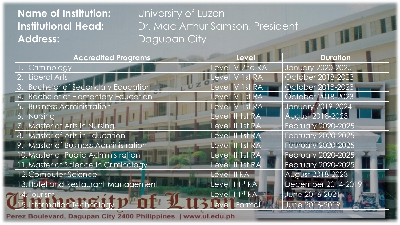## **Name of Institution:** University of Luzon Address: Dagupan City

**Institutional Head:** Dr. Mac Arthur Samson, President

| <b>Accredited Programs</b>           | <b>Level</b>           | <b>Duration</b>           |
|--------------------------------------|------------------------|---------------------------|
| Criminology                          | Level IV 2nd RA        | <b>January 2020-2025</b>  |
| 2. Liberal Arts                      | Level IV 1st RA        | October 2018-2023         |
| 3. Bachelor of Secondary Education   | Level IV 1st RA        | October 2018-2023         |
| 4. Bachelor of Elementary Education  | Level IV 1st RA        | October 2018-2023         |
| 5. Business Administration           | <b>Level IV 1st RA</b> | <b>January 2019-2024</b>  |
| 6. Nursing                           | Level III 1st RA       | August 2018-2023          |
| 7. Master of Arts in Nursing         | Level III 1st RA       | <b>February 2020-2025</b> |
| 8. Master of Arts in Education       | Level III 1st RA       | <b>February 2020-2025</b> |
| 9. Master of Business Administration | Level III 1st RA       | February 2020-2025        |
| 10. Master of Public Administration  | Level III 1st RA       | February 2020-2025        |
| 11. Master of Science in Criminology | Level III 1st RA       | <b>February 2020-2025</b> |
| 12. Computer Science                 | Level III RA           | August 2018-2023          |
| 13. Hotel and Restaurant Management  | Level II 1st RA        | December 2014-201         |
| $\vert 14.$ Tourism                  | Level II 1st RA        | June 2016-2021            |
| 15. Information Technology           | Level   Formal         | June 2016-2019            |
|                                      |                        |                           |

**Perez Boulevar** Dagupan City 2400 Philippines u.pn